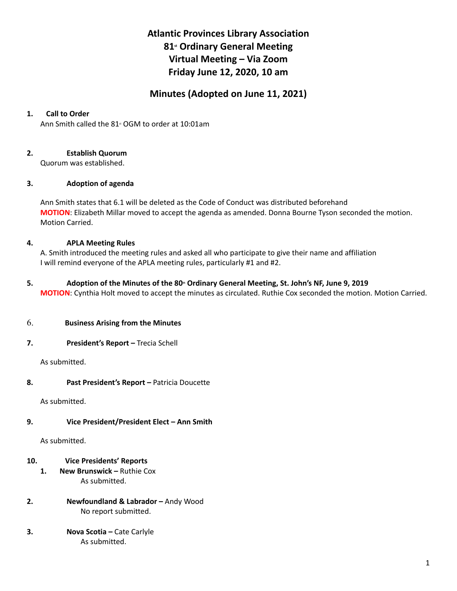# **Atlantic Provinces Library Association 81st Ordinary General Meeting Virtual Meeting – Via Zoom Friday June 12, 2020, 10 am**

# **Minutes (Adopted on June 11, 2021)**

# **1. Call to Order**

Ann Smith called the  $81$ <sup>st</sup> OGM to order at 10:01am

# **2. Establish Quorum**

Quorum was established.

# **3. Adoption of agenda**

Ann Smith states that 6.1 will be deleted as the Code of Conduct was distributed beforehand **MOTION**: Elizabeth Millar moved to accept the agenda as amended. Donna Bourne Tyson seconded the motion. Motion Carried.

# **4. APLA Meeting Rules**

A. Smith introduced the meeting rules and asked all who participate to give their name and affiliation I will remind everyone of the APLA meeting rules, particularly #1 and #2.

# **5. Adoption of the Minutes of the 80th Ordinary General Meeting, St. John's NF, June 9, 2019**

**MOTION**: Cynthia Holt moved to accept the minutes as circulated. Ruthie Cox seconded the motion. Motion Carried.

### 6. **Business Arising from the Minutes**

**7. President's Report –** Trecia Schell

As submitted.

### **8. Past President's Report –** Patricia Doucette

As submitted.

# **9. Vice President/President Elect – Ann Smith**

As submitted.

# **10. Vice Presidents' Reports**

- **1. New Brunswick –** Ruthie Cox As submitted.
- **2. Newfoundland & Labrador –** Andy Wood No report submitted.
- **3. Nova Scotia –** Cate Carlyle As submitted.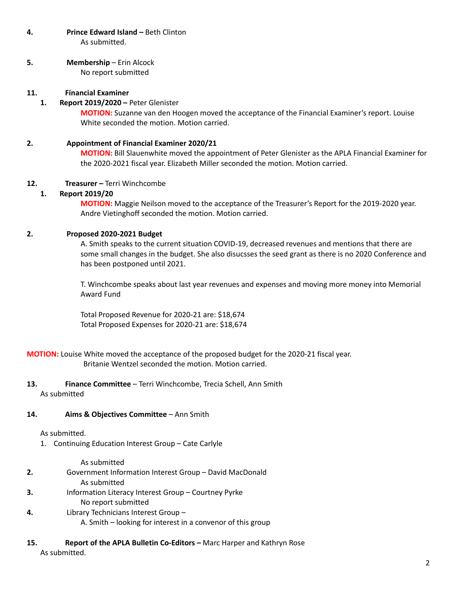**4. Prince Edward Island –** Beth Clinton As submitted.

**5. Membership** – Erin Alcock No report submitted

# **11. Financial Examiner**

### **1. Report 2019/2020 –** Peter Glenister

**MOTION:** Suzanne van den Hoogen moved the acceptance of the Financial Examiner's report. Louise White seconded the motion. Motion carried.

# **2. Appointment of Financial Examiner 2020/21**

**MOTION:** Bill Slauenwhite moved the appointment of Peter Glenister as the APLA Financial Examiner for the 2020-2021 fiscal year. Elizabeth Miller seconded the motion. Motion carried.

# **12. Treasurer –** Terri Winchcombe

### **1. Report 2019/20**

**MOTION:** Maggie Neilson moved to the acceptance of the Treasurer's Report for the 2019-2020 year. Andre Vietinghoff seconded the motion. Motion carried.

# **2. Proposed 2020-2021 Budget**

A. Smith speaks to the current situation COVID-19, decreased revenues and mentions that there are some small changes in the budget. She also disucsses the seed grant as there is no 2020 Conference and has been postponed until 2021.

T. Winchcombe speaks about last year revenues and expenses and moving more money into Memorial Award Fund

Total Proposed Revenue for 2020-21 are: \$18,674 Total Proposed Expenses for 2020-21 are: \$18,674

**MOTION:** Louise White moved the acceptance of the proposed budget for the 2020-21 fiscal year. Britanie Wentzel seconded the motion. Motion carried.

**13. Finance Committee** – Terri Winchcombe, Trecia Schell, Ann Smith As submitted

### **14. Aims & Objectives Committee** – Ann Smith

### As submitted.

1. Continuing Education Interest Group – Cate Carlyle

As submitted

- **2.** Government Information Interest Group David MacDonald As submitted
- **3.** Information Literacy Interest Group Courtney Pyrke No report submitted
- **4.** Library Technicians Interest Group
	- A. Smith looking for interest in a convenor of this group
- **15. Report of the APLA Bulletin Co-Editors –** Marc Harper and Kathryn Rose As submitted.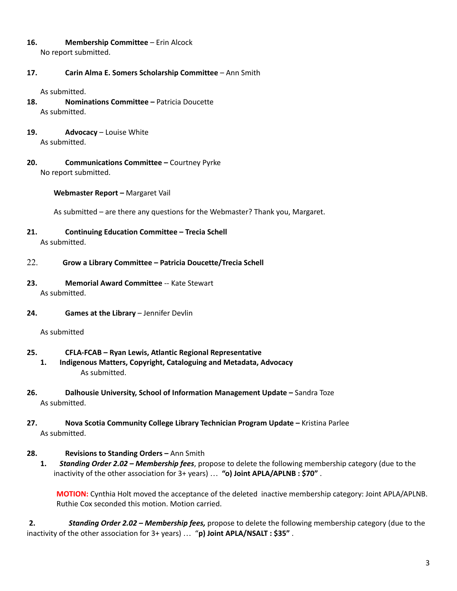- **16. Membership Committee** Erin Alcock No report submitted.
- **17. Carin Alma E. Somers Scholarship Committee** Ann Smith

As submitted.

- **18. Nominations Committee –** Patricia Doucette As submitted.
- **19. Advocacy** Louise White As submitted.
- **20. Communications Committee –** Courtney Pyrke No report submitted.

**Webmaster Report –** Margaret Vail

As submitted – are there any questions for the Webmaster? Thank you, Margaret.

- **21. Continuing Education Committee – Trecia Schell** As submitted.
- 22. **Grow a Library Committee – Patricia Doucette/Trecia Schell**
- **23. Memorial Award Committee** -- Kate Stewart As submitted.
- **24. Games at the Library** Jennifer Devlin

As submitted

- **25. CFLA-FCAB – Ryan Lewis, Atlantic Regional Representative**
	- **1. Indigenous Matters, Copyright, Cataloguing and Metadata, Advocacy** As submitted.
- **26. Dalhousie University, School of Information Management Update –** Sandra Toze As submitted.
- **27. Nova Scotia Community College Library Technician Program Update –** Kristina Parlee As submitted.
- **28. Revisions to Standing Orders –** Ann Smith
	- **1.** *Standing Order 2.02 – Membership fees*, propose to delete the following membership category (due to the inactivity of the other association for 3+ years) … **"o) Joint APLA/APLNB : \$70"** .

**MOTION:** Cynthia Holt moved the acceptance of the deleted inactive membership category: Joint APLA/APLNB. Ruthie Cox seconded this motion. Motion carried.

**2.** *Standing Order 2.02 – Membership fees,* propose to delete the following membership category (due to the inactivity of the other association for 3+ years) … "**p) Joint APLA/NSALT : \$35"** .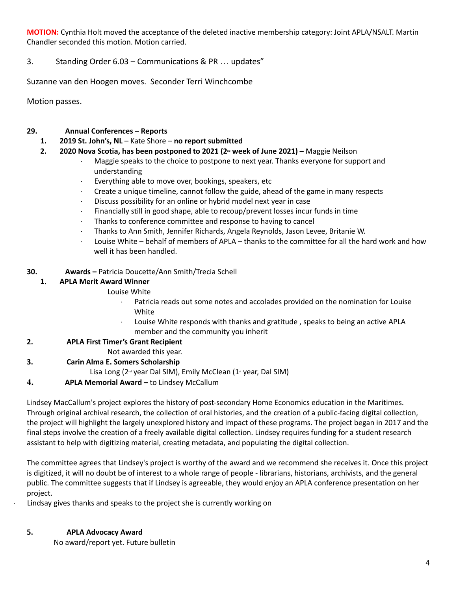**MOTION:** Cynthia Holt moved the acceptance of the deleted inactive membership category: Joint APLA/NSALT. Martin Chandler seconded this motion. Motion carried.

# 3. Standing Order 6.03 – Communications & PR … updates"

Suzanne van den Hoogen moves. Seconder Terri Winchcombe

Motion passes.

# **29. Annual Conferences – Reports**

- **1. 2019 St. John's, NL** Kate Shore **no report submitted**
- **2. 2020 Nova Scotia, has been postponed to 2021 (2nd week of June 2021)** Maggie Neilson
	- Maggie speaks to the choice to postpone to next year. Thanks everyone for support and understanding
	- Everything able to move over, bookings, speakers, etc
	- $\cdot$  Create a unique timeline, cannot follow the guide, ahead of the game in many respects
	- · Discuss possibility for an online or hybrid model next year in case
	- Financially still in good shape, able to recoup/prevent losses incur funds in time
	- · Thanks to conference committee and response to having to cancel
	- · Thanks to Ann Smith, Jennifer Richards, Angela Reynolds, Jason Levee, Britanie W.
	- · Louise White behalf of members of APLA thanks to the committee for all the hard work and how well it has been handled.

# **30. Awards –** Patricia Doucette/Ann Smith/Trecia Schell

# **1. APLA Merit Award Winner**

Louise White

- · Patricia reads out some notes and accolades provided on the nomination for Louise White
- Louise White responds with thanks and gratitude, speaks to being an active APLA member and the community you inherit

### **2. APLA First Timer's Grant Recipient**

Not awarded this year.

**3. Carin Alma E. Somers Scholarship**

Lisa Long ( $2^{\omega}$  year Dal SIM), Emily McClean ( $1^{\omega}$  year, Dal SIM)

**4. APLA Memorial Award –** to Lindsey McCallum

Lindsey MacCallum's project explores the history of post-secondary Home Economics education in the Maritimes. Through original archival research, the collection of oral histories, and the creation of a public-facing digital collection, the project will highlight the largely unexplored history and impact of these programs. The project began in 2017 and the final steps involve the creation of a freely available digital collection. Lindsey requires funding for a student research assistant to help with digitizing material, creating metadata, and populating the digital collection.

The committee agrees that Lindsey's project is worthy of the award and we recommend she receives it. Once this project is digitized, it will no doubt be of interest to a whole range of people - librarians, historians, archivists, and the general public. The committee suggests that if Lindsey is agreeable, they would enjoy an APLA conference presentation on her project.

Lindsay gives thanks and speaks to the project she is currently working on

### **5. APLA Advocacy Award**

No award/report yet. Future bulletin